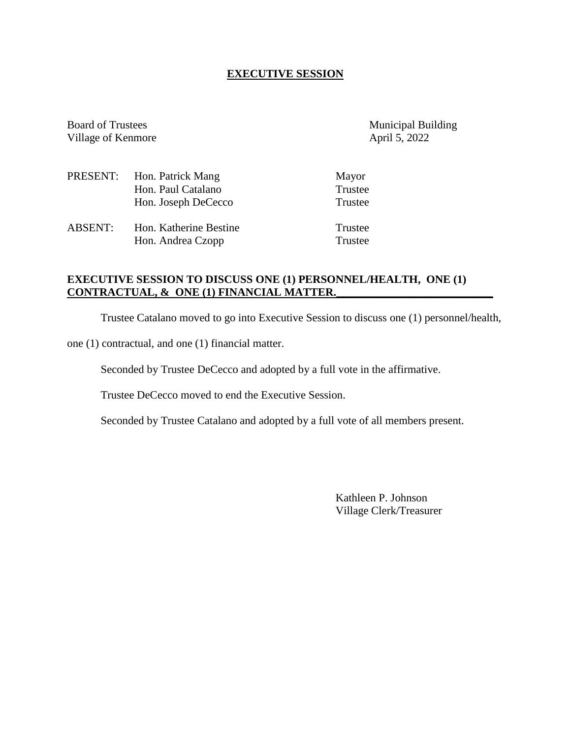## **EXECUTIVE SESSION**

Village of Kenmore

Board of Trustees Municipal Building<br>Village of Kenmore April 5, 2022

|                        | Mayor                                           |
|------------------------|-------------------------------------------------|
| Hon. Paul Catalano     | Trustee                                         |
| Hon. Joseph DeCecco    | Trustee                                         |
| Hon. Katherine Bestine | Trustee<br>Trustee                              |
|                        | PRESENT: Hon. Patrick Mang<br>Hon. Andrea Czopp |

#### **EXECUTIVE SESSION TO DISCUSS ONE (1) PERSONNEL/HEALTH, ONE (1) CONTRACTUAL, & ONE (1) FINANCIAL MATTER.\_\_\_\_\_\_\_\_\_\_\_\_\_\_\_\_\_\_\_\_\_\_\_\_\_\_\_\_**

Trustee Catalano moved to go into Executive Session to discuss one (1) personnel/health,

one (1) contractual, and one (1) financial matter.

Seconded by Trustee DeCecco and adopted by a full vote in the affirmative.

Trustee DeCecco moved to end the Executive Session.

Seconded by Trustee Catalano and adopted by a full vote of all members present.

Kathleen P. Johnson Village Clerk/Treasurer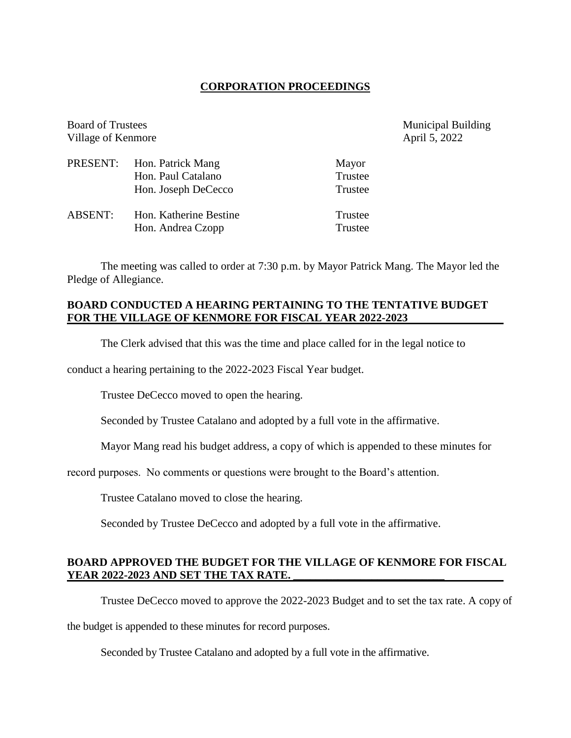## **CORPORATION PROCEEDINGS**

Municipal Building

April 5, 2022

| <b>Board of Trustees</b> |                                                                |                             |
|--------------------------|----------------------------------------------------------------|-----------------------------|
| Village of Kenmore       |                                                                |                             |
| PRESENT:                 | Hon. Patrick Mang<br>Hon. Paul Catalano<br>Hon. Joseph DeCecco | Mayor<br>Trustee<br>Trustee |
| <b>ABSENT:</b>           | Hon. Katherine Bestine<br>Hon. Andrea Czopp                    | Trustee<br>Trustee          |

The meeting was called to order at 7:30 p.m. by Mayor Patrick Mang. The Mayor led the Pledge of Allegiance.

#### **BOARD CONDUCTED A HEARING PERTAINING TO THE TENTATIVE BUDGET FOR THE VILLAGE OF KENMORE FOR FISCAL YEAR 2022-2023**

The Clerk advised that this was the time and place called for in the legal notice to

conduct a hearing pertaining to the 2022-2023 Fiscal Year budget.

Trustee DeCecco moved to open the hearing.

Seconded by Trustee Catalano and adopted by a full vote in the affirmative.

Mayor Mang read his budget address, a copy of which is appended to these minutes for

record purposes. No comments or questions were brought to the Board's attention.

Trustee Catalano moved to close the hearing.

Seconded by Trustee DeCecco and adopted by a full vote in the affirmative.

#### **BOARD APPROVED THE BUDGET FOR THE VILLAGE OF KENMORE FOR FISCAL YEAR 2022-2023 AND SET THE TAX RATE.**

Trustee DeCecco moved to approve the 2022-2023 Budget and to set the tax rate. A copy of

the budget is appended to these minutes for record purposes.

Seconded by Trustee Catalano and adopted by a full vote in the affirmative.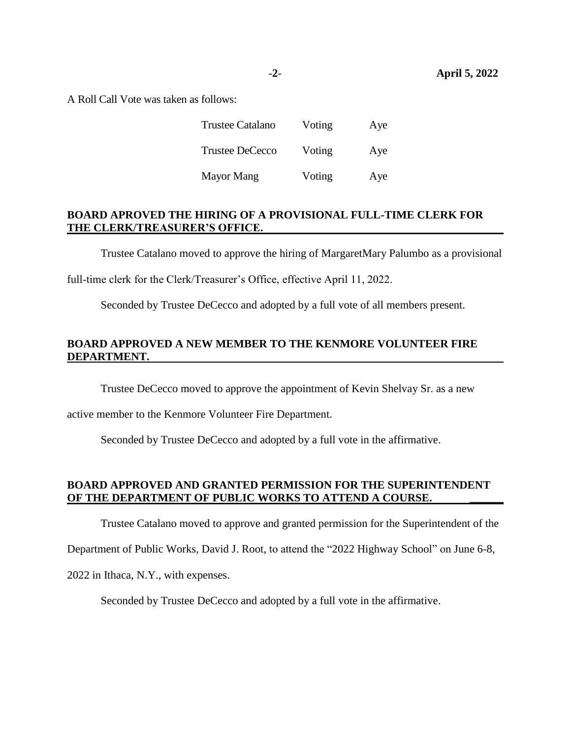A Roll Call Vote was taken as follows:

| <b>Trustee Catalano</b> | Voting | Aye |
|-------------------------|--------|-----|
| <b>Trustee DeCecco</b>  | Voting | Aye |
| Mayor Mang              | Voting | Aye |

#### **BOARD APROVED THE HIRING OF A PROVISIONAL FULL-TIME CLERK FOR THE CLERK/TREASURER'S OFFICE.**

Trustee Catalano moved to approve the hiring of MargaretMary Palumbo as a provisional

full-time clerk for the Clerk/Treasurer's Office, effective April 11, 2022.

Seconded by Trustee DeCecco and adopted by a full vote of all members present.

# **BOARD APPROVED A NEW MEMBER TO THE KENMORE VOLUNTEER FIRE DEPARTMENT.**

Trustee DeCecco moved to approve the appointment of Kevin Shelvay Sr. as a new

active member to the Kenmore Volunteer Fire Department.

Seconded by Trustee DeCecco and adopted by a full vote in the affirmative.

## **BOARD APPROVED AND GRANTED PERMISSION FOR THE SUPERINTENDENT**  OF THE DEPARTMENT OF PUBLIC WORKS TO ATTEND A COURSE.

Trustee Catalano moved to approve and granted permission for the Superintendent of the

Department of Public Works, David J. Root, to attend the "2022 Highway School" on June 6-8,

2022 in Ithaca, N.Y., with expenses.

Seconded by Trustee DeCecco and adopted by a full vote in the affirmative.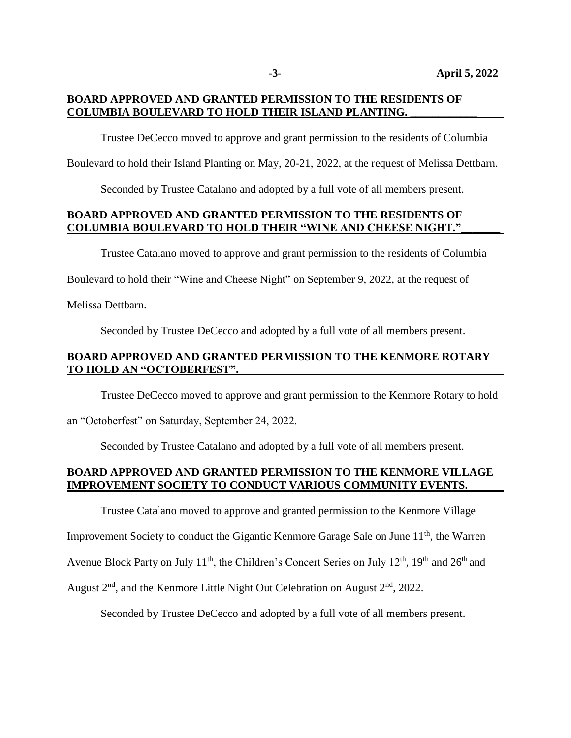# **BOARD APPROVED AND GRANTED PERMISSION TO THE RESIDENTS OF COLUMBIA BOULEVARD TO HOLD THEIR ISLAND PLANTING. \_\_\_\_\_\_\_\_\_\_\_\_**

Trustee DeCecco moved to approve and grant permission to the residents of Columbia

Boulevard to hold their Island Planting on May, 20-21, 2022, at the request of Melissa Dettbarn.

Seconded by Trustee Catalano and adopted by a full vote of all members present.

## **BOARD APPROVED AND GRANTED PERMISSION TO THE RESIDENTS OF COLUMBIA BOULEVARD TO HOLD THEIR "WINE AND CHEESE NIGHT."\_\_\_\_\_\_\_**

Trustee Catalano moved to approve and grant permission to the residents of Columbia

Boulevard to hold their "Wine and Cheese Night" on September 9, 2022, at the request of

Melissa Dettbarn.

Seconded by Trustee DeCecco and adopted by a full vote of all members present.

## **BOARD APPROVED AND GRANTED PERMISSION TO THE KENMORE ROTARY TO HOLD AN "OCTOBERFEST".**

Trustee DeCecco moved to approve and grant permission to the Kenmore Rotary to hold

an "Octoberfest" on Saturday, September 24, 2022.

Seconded by Trustee Catalano and adopted by a full vote of all members present.

# **BOARD APPROVED AND GRANTED PERMISSION TO THE KENMORE VILLAGE IMPROVEMENT SOCIETY TO CONDUCT VARIOUS COMMUNITY EVENTS.**

Trustee Catalano moved to approve and granted permission to the Kenmore Village

Improvement Society to conduct the Gigantic Kenmore Garage Sale on June 11<sup>th</sup>, the Warren

Avenue Block Party on July 11<sup>th</sup>, the Children's Concert Series on July 12<sup>th</sup>, 19<sup>th</sup> and 26<sup>th</sup> and

August  $2<sup>nd</sup>$ , and the Kenmore Little Night Out Celebration on August  $2<sup>nd</sup>$ , 2022.

Seconded by Trustee DeCecco and adopted by a full vote of all members present.